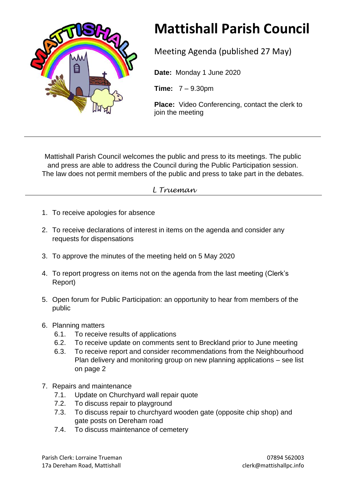

## **Mattishall Parish Council**

Meeting Agenda (published 27 May)

**Date:** Monday 1 June 2020

**Time:** 7 – 9.30pm

**Place:** Video Conferencing, contact the clerk to join the meeting

Mattishall Parish Council welcomes the public and press to its meetings. The public and press are able to address the Council during the Public Participation session. The law does not permit members of the public and press to take part in the debates.

## *L Trueman*

- 1. To receive apologies for absence
- 2. To receive declarations of interest in items on the agenda and consider any requests for dispensations
- 3. To approve the minutes of the meeting held on 5 May 2020
- 4. To report progress on items not on the agenda from the last meeting (Clerk's Report)
- 5. Open forum for Public Participation: an opportunity to hear from members of the public
- 6. Planning matters
	- 6.1. To receive results of applications
	- 6.2. To receive update on comments sent to Breckland prior to June meeting
	- 6.3. To receive report and consider recommendations from the Neighbourhood Plan delivery and monitoring group on new planning applications – see list on page 2
- 7. Repairs and maintenance
	- 7.1. Update on Churchyard wall repair quote
	- 7.2. To discuss repair to playground
	- 7.3. To discuss repair to churchyard wooden gate (opposite chip shop) and gate posts on Dereham road
	- 7.4. To discuss maintenance of cemetery